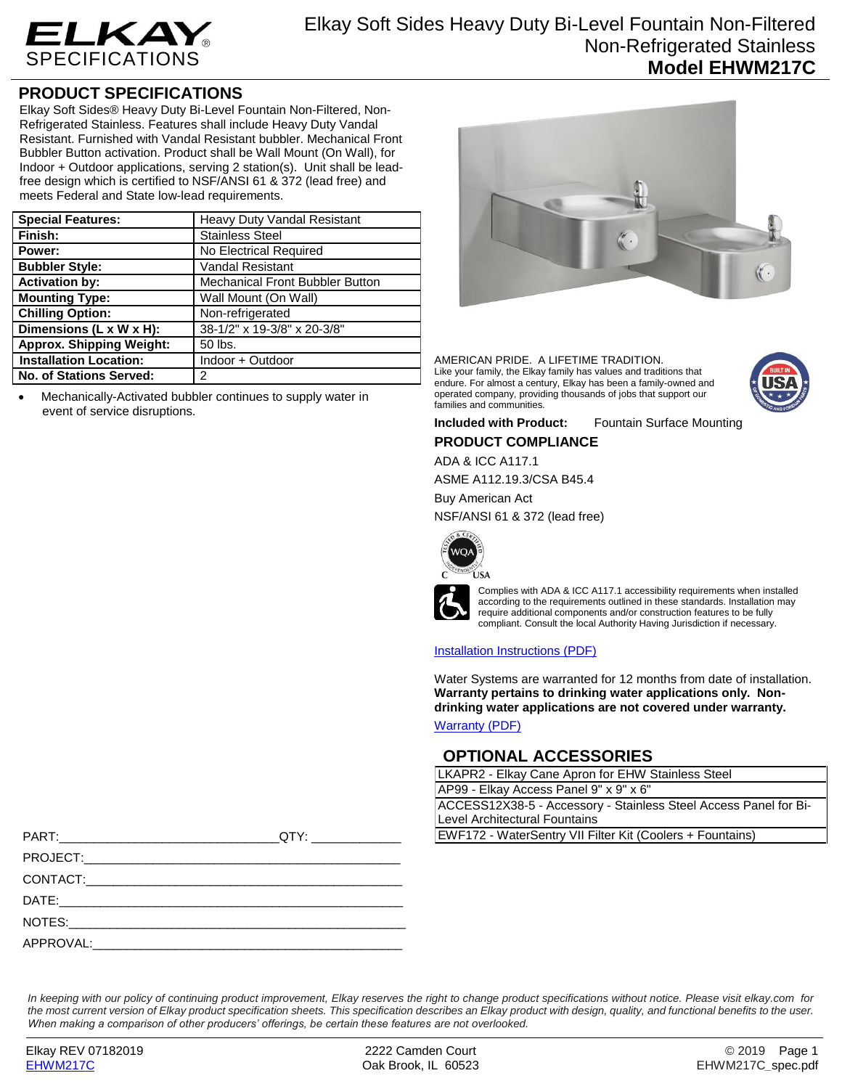

## **PRODUCT SPECIFICATIONS**

Elkay Soft Sides® Heavy Duty Bi-Level Fountain Non-Filtered, Non-Refrigerated Stainless. Features shall include Heavy Duty Vandal Resistant. Furnished with Vandal Resistant bubbler. Mechanical Front Bubbler Button activation. Product shall be Wall Mount (On Wall), for Indoor + Outdoor applications, serving 2 station(s). Unit shall be leadfree design which is certified to NSF/ANSI 61 & 372 (lead free) and meets Federal and State low-lead requirements.

| <b>Special Features:</b>        | Heavy Duty Vandal Resistant            |
|---------------------------------|----------------------------------------|
| Finish:                         | <b>Stainless Steel</b>                 |
| Power:                          | No Electrical Required                 |
| <b>Bubbler Style:</b>           | <b>Vandal Resistant</b>                |
| <b>Activation by:</b>           | <b>Mechanical Front Bubbler Button</b> |
| <b>Mounting Type:</b>           | Wall Mount (On Wall)                   |
| <b>Chilling Option:</b>         | Non-refrigerated                       |
| Dimensions (L x W x H):         | 38-1/2" x 19-3/8" x 20-3/8"            |
| <b>Approx. Shipping Weight:</b> | 50 lbs.                                |
| <b>Installation Location:</b>   | Indoor + Outdoor                       |
| No. of Stations Served:         | 2                                      |

 Mechanically-Activated bubbler continues to supply water in event of service disruptions.



AMERICAN PRIDE. A LIFETIME TRADITION. Like your family, the Elkay family has values and traditions that endure. For almost a century, Elkay has been a family-owned and operated company, providing thousands of jobs that support our families and communities.



**Included with Product:** Fountain Surface Mounting

### **PRODUCT COMPLIANCE**

ADA & ICC A117.1

ASME A112.19.3/CSA B45.4

Buy American Act

NSF/ANSI 61 & 372 (lead free)





Complies with ADA & ICC A117.1 accessibility requirements when installed according to the requirements outlined in these standards. Installation may require additional components and/or construction features to be fully compliant. Consult the local Authority Having Jurisdiction if necessary.

#### [Installation Instructions \(PDF\)](http://www.elkay.com/wcsstore/lkdocs/care-cleaning-install-warranty-sheets/98193c.pdf)

Water Systems are warranted for 12 months from date of installation. **Warranty pertains to drinking water applications only. Nondrinking water applications are not covered under warranty.**

[Warranty](http://www.elkay.com/wcsstore/lkdocs/care-cleaning-install-warranty-sheets/96993c.pdf) (PDF)

## **OPTIONAL ACCESSORIES**

| LKAPR2 - Elkay Cane Apron for EHW Stainless Steel                |  |  |
|------------------------------------------------------------------|--|--|
| AP99 - Elkay Access Panel 9" x 9" x 6"                           |  |  |
| ACCESS12X38-5 - Accessory - Stainless Steel Access Panel for Bi- |  |  |
| Level Architectural Fountains                                    |  |  |
| EWF172 - WaterSentry VII Filter Kit (Coolers + Fountains)        |  |  |
|                                                                  |  |  |

| PART:     | OTY:                                                       |                                                           |  |
|-----------|------------------------------------------------------------|-----------------------------------------------------------|--|
|           |                                                            | EWF172 - WaterSentry VII Filter Kit (Coolers + Fountains) |  |
| PROJECT:  | <u> 1989 - Johann Stoff, amerikansk politiker (* 1908)</u> |                                                           |  |
| CONTACT:  | <u> 1980 - Jan James James Santan (j. 1980)</u>            |                                                           |  |
| DATE:     |                                                            |                                                           |  |
| NOTES:    |                                                            |                                                           |  |
| APPROVAL: |                                                            |                                                           |  |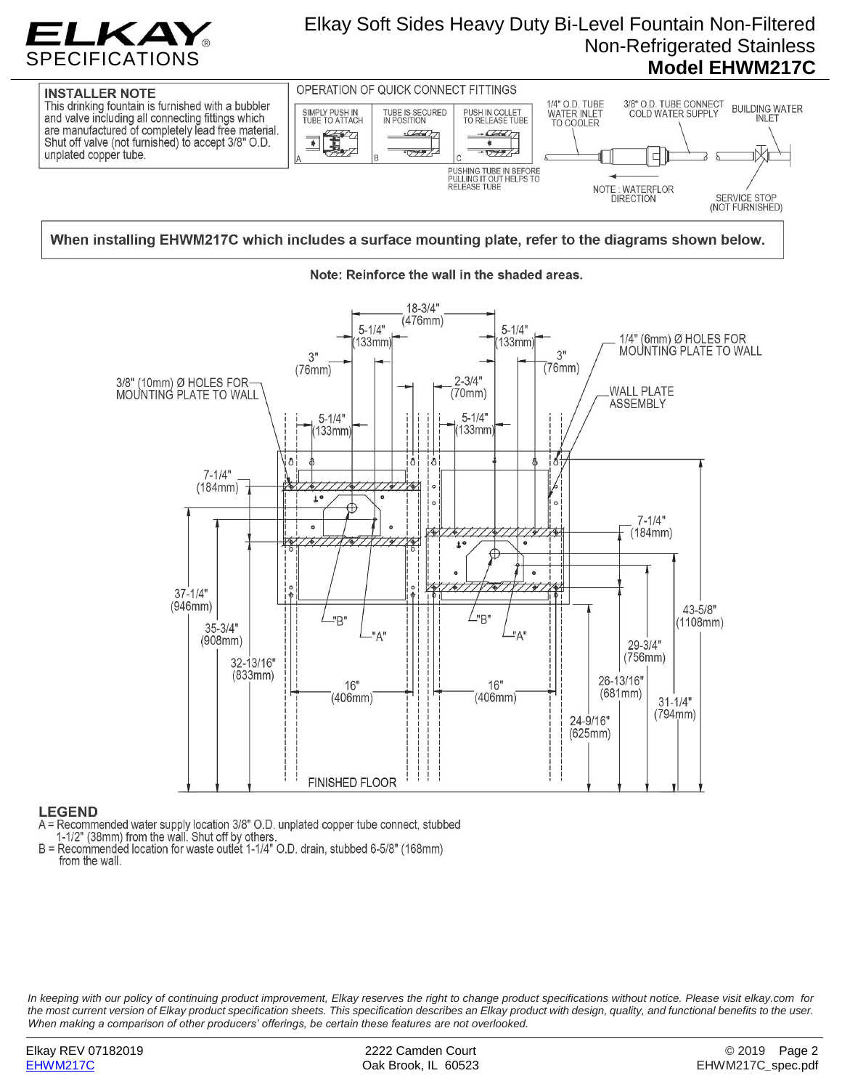

# Elkay Soft Sides Heavy Duty Bi-Level Fountain Non-Filtered Non-Refrigerated Stainless **Model EHWM217C**



### When installing EHWM217C which includes a surface mounting plate, refer to the diagrams shown below.



### Note: Reinforce the wall in the shaded areas.

#### **LEGEND**

A = Recommended water supply location 3/8" O.D. unplated copper tube connect, stubbed<br>1-1/2" (38mm) from the wall. Shut off by others.

B = Recommended location for waste outlet 1-1/4" O.D. drain, stubbed 6-5/8" (168mm) from the wall.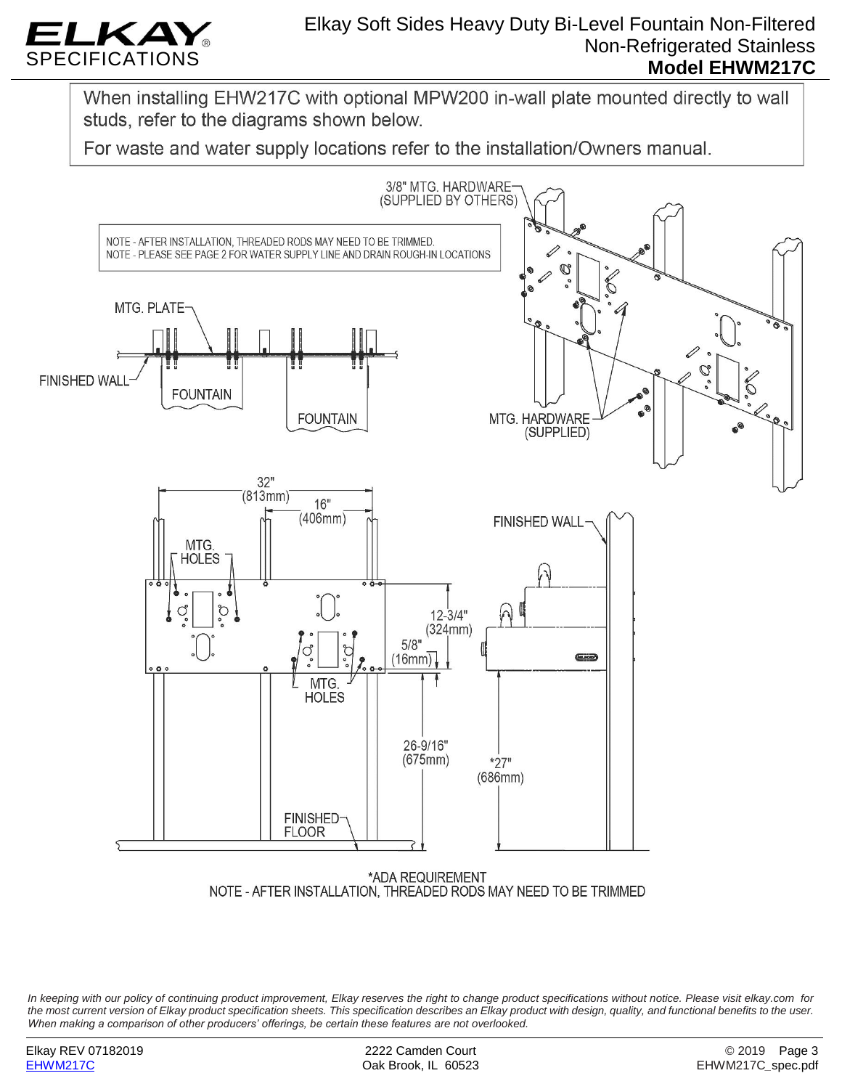

# Elkay Soft Sides Heavy Duty Bi-Level Fountain Non-Filtered Non-Refrigerated Stainless **Model EHWM217C**

When installing EHW217C with optional MPW200 in-wall plate mounted directly to wall studs, refer to the diagrams shown below.

For waste and water supply locations refer to the installation/Owners manual.



NOTE - AFTER INSTALLATION, THREADED RODS MAY NEED TO BE TRIMMED